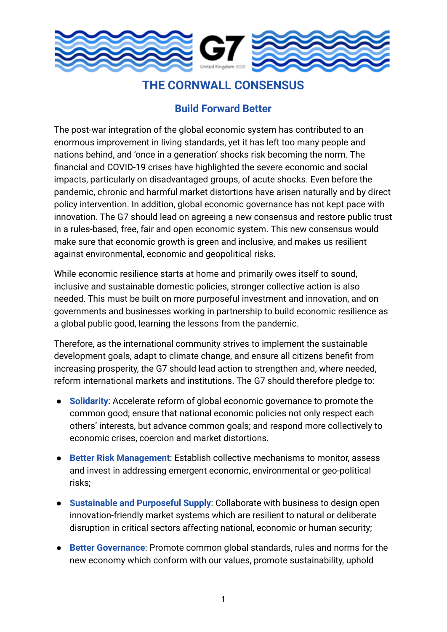

## **THE CORNWALL CONSENSUS**

## **Build Forward Better**

The post-war integration of the global economic system has contributed to an enormous improvement in living standards, yet it has left too many people and nations behind, and 'once in a generation' shocks risk becoming the norm. The financial and COVID-19 crises have highlighted the severe economic and social impacts, particularly on disadvantaged groups, of acute shocks. Even before the pandemic, chronic and harmful market distortions have arisen naturally and by direct policy intervention. In addition, global economic governance has not kept pace with innovation. The G7 should lead on agreeing a new consensus and restore public trust in a rules-based, free, fair and open economic system. This new consensus would make sure that economic growth is green and inclusive, and makes us resilient against environmental, economic and geopolitical risks.

While economic resilience starts at home and primarily owes itself to sound, inclusive and sustainable domestic policies, stronger collective action is also needed. This must be built on more purposeful investment and innovation, and on governments and businesses working in partnership to build economic resilience as a global public good, learning the lessons from the pandemic.

Therefore, as the international community strives to implement the sustainable development goals, adapt to climate change, and ensure all citizens benefit from increasing prosperity, the G7 should lead action to strengthen and, where needed, reform international markets and institutions. The G7 should therefore pledge to:

- **Solidarity**: Accelerate reform of global economic governance to promote the common good; ensure that national economic policies not only respect each others' interests, but advance common goals; and respond more collectively to economic crises, coercion and market distortions.
- **Better Risk Management**: Establish collective mechanisms to monitor, assess and invest in addressing emergent economic, environmental or geo-political risks;
- **Sustainable and Purposeful Supply**: Collaborate with business to design open innovation-friendly market systems which are resilient to natural or deliberate disruption in critical sectors affecting national, economic or human security;
- **Better Governance:** Promote common global standards, rules and norms for the new economy which conform with our values, promote sustainability, uphold